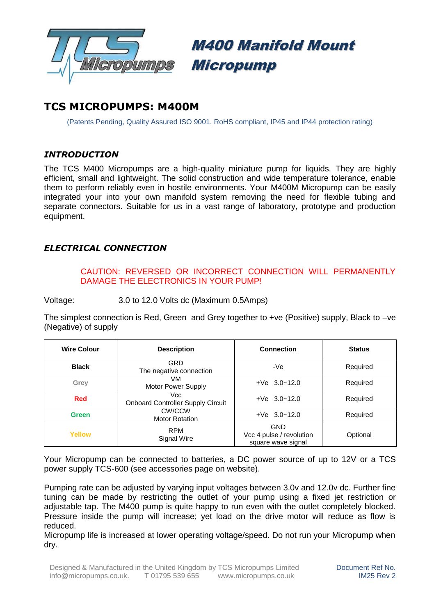

# M400 Manifold Mount Micropump

# **TCS MICROPUMPS: M400M**

(Patents Pending, Quality Assured ISO 9001, RoHS compliant, IP45 and IP44 protection rating)

### *INTRODUCTION*

The TCS M400 Micropumps are a high-quality miniature pump for liquids. They are highly efficient, small and lightweight. The solid construction and wide temperature tolerance, enable them to perform reliably even in hostile environments. Your M400M Micropump can be easily integrated your into your own manifold system removing the need for flexible tubing and separate connectors. Suitable for us in a vast range of laboratory, prototype and production equipment.

## *ELECTRICAL CONNECTION*

#### CAUTION: REVERSED OR INCORRECT CONNECTION WILL PERMANENTLY DAMAGE THE ELECTRONICS IN YOUR PUMP!

Voltage: 3.0 to 12.0 Volts dc (Maximum 0.5Amps)

The simplest connection is Red, Green and Grey together to +ve (Positive) supply, Black to -ve (Negative) of supply

| <b>Wire Colour</b> | <b>Description</b>                               | Connection                                            | <b>Status</b> |  |
|--------------------|--------------------------------------------------|-------------------------------------------------------|---------------|--|
| <b>Black</b>       | GRD<br>The negative connection                   | -Ve                                                   | Required      |  |
| Grey               | VM<br>Motor Power Supply                         | $+Ve$ 3.0~12.0                                        | Required      |  |
| Red                | Vcc.<br><b>Onboard Controller Supply Circuit</b> | $+Ve$ 3.0~12.0                                        | Required      |  |
| <b>Green</b>       | CW/CCW<br><b>Motor Rotation</b>                  | $+Ve$ 3.0~12.0                                        | Required      |  |
| Yellow             | <b>RPM</b><br>Signal Wire                        | GND<br>Vcc 4 pulse / revolution<br>square wave signal | Optional      |  |

Your Micropump can be connected to batteries, a DC power source of up to 12V or a TCS power supply TCS-600 (see accessories page on website).

Pumping rate can be adjusted by varying input voltages between 3.0v and 12.0v dc. Further fine tuning can be made by restricting the outlet of your pump using a fixed jet restriction or adjustable tap. The M400 pump is quite happy to run even with the outlet completely blocked. Pressure inside the pump will increase; yet load on the drive motor will reduce as flow is reduced.

Micropump life is increased at lower operating voltage/speed. Do not run your Micropump when dry.